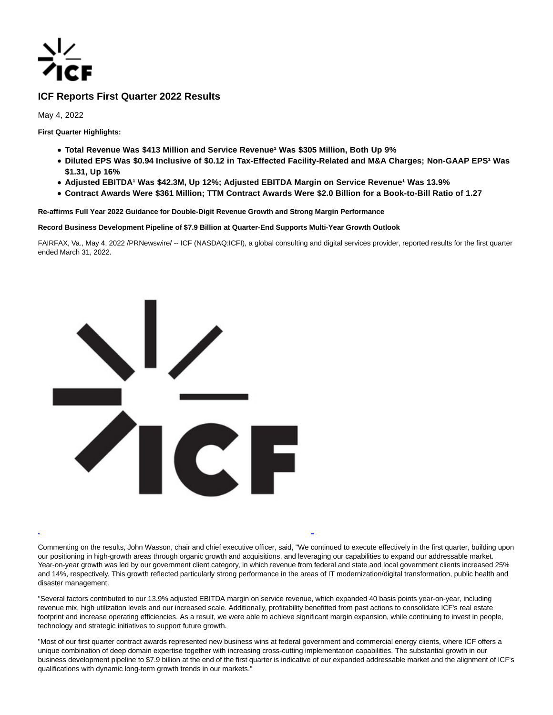

# **ICF Reports First Quarter 2022 Results**

May 4, 2022

**First Quarter Highlights:**

- **Total Revenue Was \$413 Million and Service Revenue<sup>1</sup> Was \$305 Million, Both Up 9%**
- **Diluted EPS Was \$0.94 Inclusive of \$0.12 in Tax-Effected Facility-Related and M&A Charges; Non-GAAP EPS<sup>1</sup> Was \$1.31, Up 16%**
- **Adjusted EBITDA<sup>1</sup> Was \$42.3M, Up 12%; Adjusted EBITDA Margin on Service Revenue<sup>1</sup> Was 13.9%**
- **Contract Awards Were \$361 Million; TTM Contract Awards Were \$2.0 Billion for a Book-to-Bill Ratio of 1.27**

**Re-affirms Full Year 2022 Guidance for Double-Digit Revenue Growth and Strong Margin Performance**

**Record Business Development Pipeline of \$7.9 Billion at Quarter-End Supports Multi-Year Growth Outlook**

FAIRFAX, Va., May 4, 2022 /PRNewswire/ -- ICF (NASDAQ:ICFI), a global consulting and digital services provider, reported results for the first quarter ended March 31, 2022.



Commenting on the results, John Wasson, chair and chief executive officer, said, "We continued to execute effectively in the first quarter, building upon our positioning in high-growth areas through organic growth and acquisitions, and leveraging our capabilities to expand our addressable market. Year-on-year growth was led by our government client category, in which revenue from federal and state and local government clients increased 25% and 14%, respectively. This growth reflected particularly strong performance in the areas of IT modernization/digital transformation, public health and disaster management.

L

"Several factors contributed to our 13.9% adjusted EBITDA margin on service revenue, which expanded 40 basis points year-on-year, including revenue mix, high utilization levels and our increased scale. Additionally, profitability benefitted from past actions to consolidate ICF's real estate footprint and increase operating efficiencies. As a result, we were able to achieve significant margin expansion, while continuing to invest in people, technology and strategic initiatives to support future growth.

"Most of our first quarter contract awards represented new business wins at federal government and commercial energy clients, where ICF offers a unique combination of deep domain expertise together with increasing cross-cutting implementation capabilities. The substantial growth in our business development pipeline to \$7.9 billion at the end of the first quarter is indicative of our expanded addressable market and the alignment of ICF's qualifications with dynamic long-term growth trends in our markets."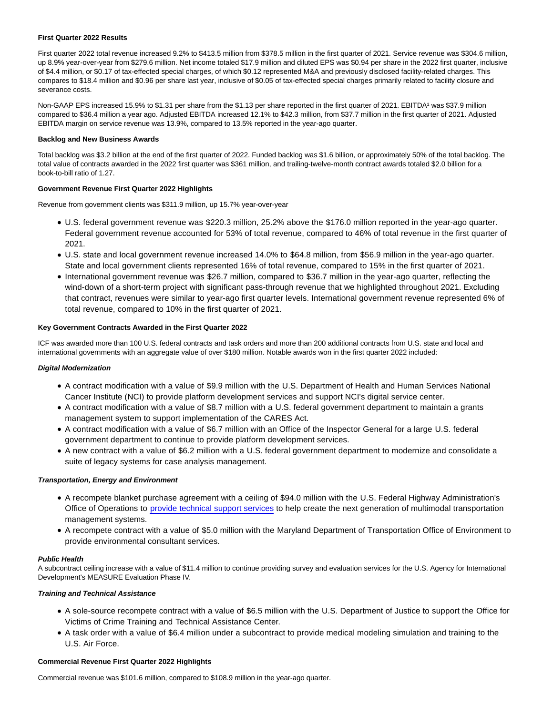### **First Quarter 2022 Results**

First quarter 2022 total revenue increased 9.2% to \$413.5 million from \$378.5 million in the first quarter of 2021. Service revenue was \$304.6 million, up 8.9% year-over-year from \$279.6 million. Net income totaled \$17.9 million and diluted EPS was \$0.94 per share in the 2022 first quarter, inclusive of \$4.4 million, or \$0.17 of tax-effected special charges, of which \$0.12 represented M&A and previously disclosed facility-related charges. This compares to \$18.4 million and \$0.96 per share last year, inclusive of \$0.05 of tax-effected special charges primarily related to facility closure and severance costs.

Non-GAAP EPS increased 15.9% to \$1.31 per share from the \$1.13 per share reported in the first quarter of 2021. EBITDA<sup>1</sup> was \$37.9 million compared to \$36.4 million a year ago. Adjusted EBITDA increased 12.1% to \$42.3 million, from \$37.7 million in the first quarter of 2021. Adjusted EBITDA margin on service revenue was 13.9%, compared to 13.5% reported in the year-ago quarter.

# **Backlog and New Business Awards**

Total backlog was \$3.2 billion at the end of the first quarter of 2022. Funded backlog was \$1.6 billion, or approximately 50% of the total backlog. The total value of contracts awarded in the 2022 first quarter was \$361 million, and trailing-twelve-month contract awards totaled \$2.0 billion for a book-to-bill ratio of 1.27.

# **Government Revenue First Quarter 2022 Highlights**

Revenue from government clients was \$311.9 million, up 15.7% year-over-year

- U.S. federal government revenue was \$220.3 million, 25.2% above the \$176.0 million reported in the year-ago quarter. Federal government revenue accounted for 53% of total revenue, compared to 46% of total revenue in the first quarter of 2021.
- U.S. state and local government revenue increased 14.0% to \$64.8 million, from \$56.9 million in the year-ago quarter. State and local government clients represented 16% of total revenue, compared to 15% in the first quarter of 2021.
- International government revenue was \$26.7 million, compared to \$36.7 million in the year-ago quarter, reflecting the wind-down of a short-term project with significant pass-through revenue that we highlighted throughout 2021. Excluding that contract, revenues were similar to year-ago first quarter levels. International government revenue represented 6% of total revenue, compared to 10% in the first quarter of 2021.

# **Key Government Contracts Awarded in the First Quarter 2022**

ICF was awarded more than 100 U.S. federal contracts and task orders and more than 200 additional contracts from U.S. state and local and international governments with an aggregate value of over \$180 million. Notable awards won in the first quarter 2022 included:

## **Digital Modernization**

- A contract modification with a value of \$9.9 million with the U.S. Department of Health and Human Services National Cancer Institute (NCI) to provide platform development services and support NCI's digital service center.
- A contract modification with a value of \$8.7 million with a U.S. federal government department to maintain a grants management system to support implementation of the CARES Act.
- A contract modification with a value of \$6.7 million with an Office of the Inspector General for a large U.S. federal government department to continue to provide platform development services.
- A new contract with a value of \$6.2 million with a U.S. federal government department to modernize and consolidate a suite of legacy systems for case analysis management.

# **Transportation, Energy and Environment**

- A recompete blanket purchase agreement with a ceiling of \$94.0 million with the U.S. Federal Highway Administration's Office of Operations to [provide technical support services t](https://c212.net/c/link/?t=0&l=en&o=3526121-1&h=4195300621&u=https%3A%2F%2Finvestor.icf.com%2Fnews-releases%2Fnews-release-details%2Ffederal-highway-administration-selects-icf-transportation&a=provide+technical+support+services)o help create the next generation of multimodal transportation management systems.
- A recompete contract with a value of \$5.0 million with the Maryland Department of Transportation Office of Environment to provide environmental consultant services.

### **Public Health**

A subcontract ceiling increase with a value of \$11.4 million to continue providing survey and evaluation services for the U.S. Agency for International Development's MEASURE Evaluation Phase IV.

### **Training and Technical Assistance**

- A sole-source recompete contract with a value of \$6.5 million with the U.S. Department of Justice to support the Office for Victims of Crime Training and Technical Assistance Center.
- A task order with a value of \$6.4 million under a subcontract to provide medical modeling simulation and training to the U.S. Air Force.

### **Commercial Revenue First Quarter 2022 Highlights**

Commercial revenue was \$101.6 million, compared to \$108.9 million in the year-ago quarter.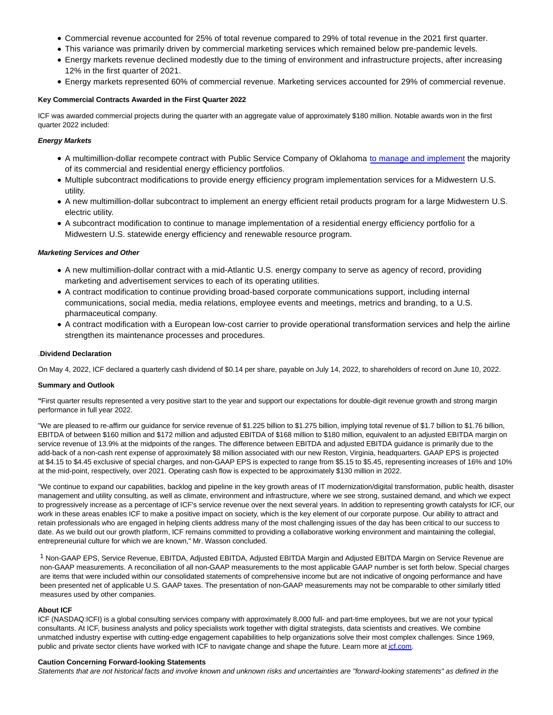- Commercial revenue accounted for 25% of total revenue compared to 29% of total revenue in the 2021 first quarter.
- This variance was primarily driven by commercial marketing services which remained below pre-pandemic levels.
- Energy markets revenue declined modestly due to the timing of environment and infrastructure projects, after increasing 12% in the first quarter of 2021.
- Energy markets represented 60% of commercial revenue. Marketing services accounted for 29% of commercial revenue.

#### **Key Commercial Contracts Awarded in the First Quarter 2022**

ICF was awarded commercial projects during the quarter with an aggregate value of approximately \$180 million. Notable awards won in the first quarter 2022 included:

# **Energy Markets**

- A multimillion-dollar recompete contract with Public Service Company of Oklahoma [to manage and implement t](https://c212.net/c/link/?t=0&l=en&o=3526121-1&h=3673386584&u=https%3A%2F%2Finvestor.icf.com%2Fnews-releases%2Fnews-release-details%2Fpublic-service-company-oklahoma-selects-icf-energy-efficiency&a=to+manage+and+implement)he majority of its commercial and residential energy efficiency portfolios.
- Multiple subcontract modifications to provide energy efficiency program implementation services for a Midwestern U.S. utility.
- A new multimillion-dollar subcontract to implement an energy efficient retail products program for a large Midwestern U.S. electric utility.
- A subcontract modification to continue to manage implementation of a residential energy efficiency portfolio for a Midwestern U.S. statewide energy efficiency and renewable resource program.

### **Marketing Services and Other**

- A new multimillion-dollar contract with a mid-Atlantic U.S. energy company to serve as agency of record, providing marketing and advertisement services to each of its operating utilities.
- A contract modification to continue providing broad-based corporate communications support, including internal communications, social media, media relations, employee events and meetings, metrics and branding, to a U.S. pharmaceutical company.
- A contract modification with a European low-cost carrier to provide operational transformation services and help the airline strengthen its maintenance processes and procedures.

### .**Dividend Declaration**

On May 4, 2022, ICF declared a quarterly cash dividend of \$0.14 per share, payable on July 14, 2022, to shareholders of record on June 10, 2022.

### **Summary and Outlook**

**"**First quarter results represented a very positive start to the year and support our expectations for double-digit revenue growth and strong margin performance in full year 2022.

"We are pleased to re-affirm our guidance for service revenue of \$1.225 billion to \$1.75 billion, implying total revenue of \$1.7 billion to \$1.76 billion, EBITDA of between \$160 million and \$172 million and adjusted EBITDA of \$168 million to \$180 million, equivalent to an adjusted EBITDA margin on service revenue of 13.9% at the midpoints of the ranges. The difference between EBITDA and adjusted EBITDA guidance is primarily due to the add-back of a non-cash rent expense of approximately \$8 million associated with our new Reston, Virginia, headquarters. GAAP EPS is projected at \$4.15 to \$4.45 exclusive of special charges, and non-GAAP EPS is expected to range from \$5.15 to \$5.45, representing increases of 16% and 10% at the mid-point, respectively, over 2021. Operating cash flow is expected to be approximately \$130 million in 2022.

"We continue to expand our capabilities, backlog and pipeline in the key growth areas of IT modernization/digital transformation, public health, disaster management and utility consulting, as well as climate, environment and infrastructure, where we see strong, sustained demand, and which we expect to progressively increase as a percentage of ICF's service revenue over the next several years. In addition to representing growth catalysts for ICF, our work in these areas enables ICF to make a positive impact on society, which is the key element of our corporate purpose. Our ability to attract and retain professionals who are engaged in helping clients address many of the most challenging issues of the day has been critical to our success to date. As we build out our growth platform, ICF remains committed to providing a collaborative working environment and maintaining the collegial, entrepreneurial culture for which we are known," Mr. Wasson concluded.

<sup>1</sup> Non-GAAP EPS, Service Revenue, EBITDA, Adjusted EBITDA, Adjusted EBITDA Margin and Adjusted EBITDA Margin on Service Revenue are non-GAAP measurements. A reconciliation of all non-GAAP measurements to the most applicable GAAP number is set forth below. Special charges are items that were included within our consolidated statements of comprehensive income but are not indicative of ongoing performance and have been presented net of applicable U.S. GAAP taxes. The presentation of non-GAAP measurements may not be comparable to other similarly titled measures used by other companies.

#### **About ICF**

ICF (NASDAQ:ICFI) is a global consulting services company with approximately 8,000 full- and part-time employees, but we are not your typical consultants. At ICF, business analysts and policy specialists work together with digital strategists, data scientists and creatives. We combine unmatched industry expertise with cutting-edge engagement capabilities to help organizations solve their most complex challenges. Since 1969, public and private sector clients have worked with ICF to navigate change and shape the future. Learn more a[t icf.com.](https://c212.net/c/link/?t=0&l=en&o=3526121-1&h=3097750392&u=https%3A%2F%2Fc212.net%2Fc%2Flink%2F%3Ft%3D0%26l%3Den%26o%3D3247944-1%26h%3D2409668394%26u%3Dhttp%253A%252F%252Ficf.com%252F%26a%3Dicf.com&a=icf.com)

#### **Caution Concerning Forward-looking Statements**

Statements that are not historical facts and involve known and unknown risks and uncertainties are "forward-looking statements" as defined in the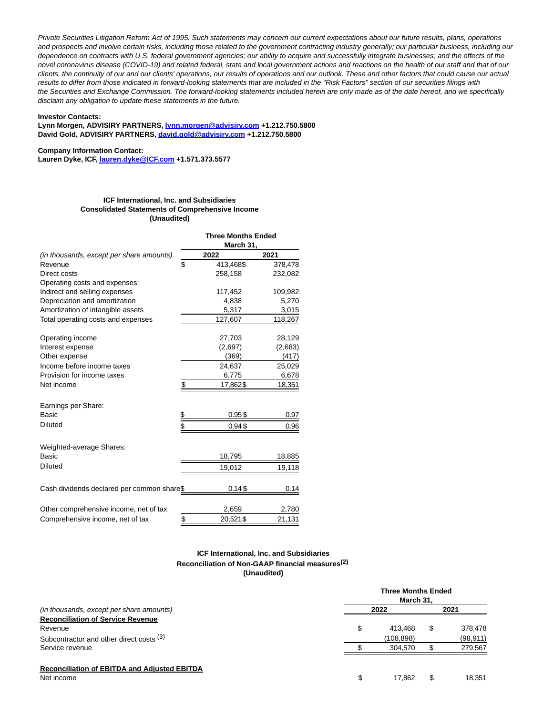Private Securities Litigation Reform Act of 1995. Such statements may concern our current expectations about our future results, plans, operations and prospects and involve certain risks, including those related to the government contracting industry generally; our particular business, including our dependence on contracts with U.S. federal government agencies; our ability to acquire and successfully integrate businesses; and the effects of the novel coronavirus disease (COVID-19) and related federal, state and local government actions and reactions on the health of our staff and that of our clients, the continuity of our and our clients' operations, our results of operations and our outlook. These and other factors that could cause our actual results to differ from those indicated in forward-looking statements that are included in the "Risk Factors" section of our securities filings with the Securities and Exchange Commission. The forward-looking statements included herein are only made as of the date hereof, and we specifically disclaim any obligation to update these statements in the future.

#### **Investor Contacts:**

# **Lynn Morgen, ADVISIRY PARTNERS[, lynn.morgen@advisiry.com +](mailto:%20lynn.morgen@advisiry.com)1.212.750.5800 David Gold, ADVISIRY PARTNERS[, david.gold@advisiry.com +](mailto:%20david.gold@advisiry.com)1.212.750.5800**

**Company Information Contact:**

**Lauren Dyke, ICF[, lauren.dyke@ICF.com +](mailto:lauren.dyke@ICF.com)1.571.373.5577**

#### **ICF International, Inc. and Subsidiaries Consolidated Statements of Comprehensive Income (Unaudited)**

|                                            |    | <b>Three Months Ended</b><br>March 31, |         |  |
|--------------------------------------------|----|----------------------------------------|---------|--|
| (in thousands, except per share amounts)   |    | 2022                                   | 2021    |  |
| Revenue                                    | \$ | 413,468\$                              | 378,478 |  |
| Direct costs                               |    | 258,158                                | 232,082 |  |
| Operating costs and expenses:              |    |                                        |         |  |
| Indirect and selling expenses              |    | 117,452                                | 109,982 |  |
| Depreciation and amortization              |    | 4,838                                  | 5,270   |  |
| Amortization of intangible assets          |    | 5,317                                  | 3,015   |  |
| Total operating costs and expenses         |    | 127,607                                | 118,267 |  |
| Operating income                           |    | 27,703                                 | 28,129  |  |
| Interest expense                           |    | (2,697)                                | (2,683) |  |
| Other expense                              |    | (369)                                  | (417)   |  |
| Income before income taxes                 |    | 24,637                                 | 25,029  |  |
| Provision for income taxes                 |    | 6,775                                  | 6,678   |  |
| Net income                                 | \$ | 17,862\$                               | 18,351  |  |
| Earnings per Share:                        |    |                                        |         |  |
| Basic                                      | \$ | 0.95\$                                 | 0.97    |  |
| <b>Diluted</b>                             | \$ | 0.94\$                                 | 0.96    |  |
| Weighted-average Shares:                   |    |                                        |         |  |
| Basic                                      |    | 18,795                                 | 18,885  |  |
| <b>Diluted</b>                             |    | 19,012                                 | 19,118  |  |
| Cash dividends declared per common share\$ |    | 0.14S                                  | 0.14    |  |
| Other comprehensive income, net of tax     |    | 2,659                                  | 2,780   |  |
| Comprehensive income, net of tax           | \$ | 20,521\$                               | 21,131  |  |

# **ICF International, Inc. and Subsidiaries Reconciliation of Non-GAAP financial measures(2) (Unaudited)**

|                                                     | <b>Three Months Ended</b><br>March 31. |   |           |  |
|-----------------------------------------------------|----------------------------------------|---|-----------|--|
| (in thousands, except per share amounts)            | 2022                                   |   | 2021      |  |
| <b>Reconciliation of Service Revenue</b>            |                                        |   |           |  |
| Revenue                                             | \$<br>413.468                          | S | 378,478   |  |
| Subcontractor and other direct costs (3)            | (108.898)                              |   | (98, 911) |  |
| Service revenue                                     | 304.570                                |   | 279,567   |  |
| <b>Reconciliation of EBITDA and Adjusted EBITDA</b> |                                        |   |           |  |
| Net income                                          | \$<br>17.862                           | S | 18.351    |  |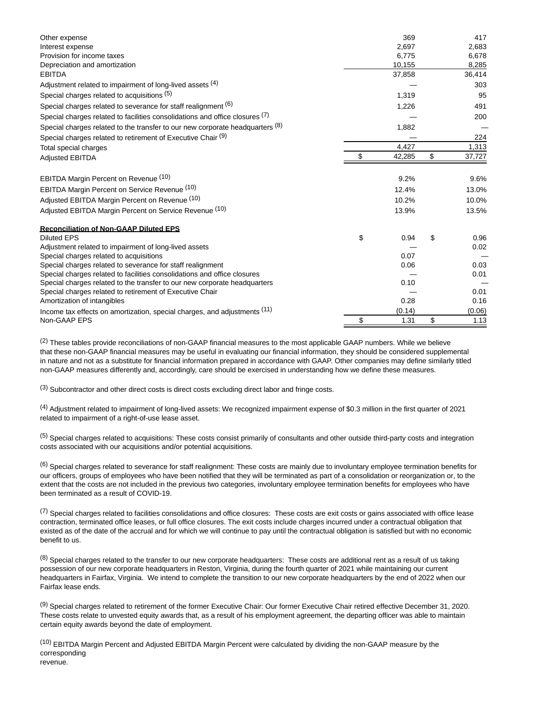| Other expense                                                                 | 369          | 417          |
|-------------------------------------------------------------------------------|--------------|--------------|
| Interest expense                                                              | 2,697        | 2,683        |
| Provision for income taxes                                                    | 6,775        | 6,678        |
| Depreciation and amortization                                                 | 10,155       | 8,285        |
| <b>EBITDA</b>                                                                 | 37,858       | 36,414       |
| Adjustment related to impairment of long-lived assets (4)                     |              | 303          |
| Special charges related to acquisitions (5)                                   | 1,319        | 95           |
| Special charges related to severance for staff realignment (6)                | 1,226        | 491          |
| Special charges related to facilities consolidations and office closures (7)  |              | 200          |
| Special charges related to the transfer to our new corporate headquarters (8) | 1,882        |              |
| Special charges related to retirement of Executive Chair (9)                  |              | 224          |
| Total special charges                                                         | 4,427        | 1,313        |
| <b>Adjusted EBITDA</b>                                                        | \$<br>42,285 | \$<br>37,727 |
| EBITDA Margin Percent on Revenue (10)                                         | 9.2%         | 9.6%         |
| EBITDA Margin Percent on Service Revenue (10)                                 | 12.4%        | 13.0%        |
|                                                                               |              |              |
| Adjusted EBITDA Margin Percent on Revenue (10)                                | 10.2%        | 10.0%        |
| Adjusted EBITDA Margin Percent on Service Revenue (10)                        | 13.9%        | 13.5%        |
| <b>Reconciliation of Non-GAAP Diluted EPS</b>                                 |              |              |
| <b>Diluted EPS</b>                                                            | \$<br>0.94   | \$<br>0.96   |
| Adjustment related to impairment of long-lived assets                         |              | 0.02         |
| Special charges related to acquisitions                                       | 0.07         |              |
| Special charges related to severance for staff realignment                    | 0.06         | 0.03         |
| Special charges related to facilities consolidations and office closures      |              | 0.01         |
| Special charges related to the transfer to our new corporate headquarters     | 0.10         |              |
| Special charges related to retirement of Executive Chair                      |              | 0.01         |
| Amortization of intangibles                                                   | 0.28         | 0.16         |
| Income tax effects on amortization, special charges, and adjustments (11)     | (0.14)       | (0.06)       |
| Non-GAAP EPS                                                                  | \$<br>1.31   | \$<br>1.13   |

 $(2)$  These tables provide reconciliations of non-GAAP financial measures to the most applicable GAAP numbers. While we believe that these non-GAAP financial measures may be useful in evaluating our financial information, they should be considered supplemental in nature and not as a substitute for financial information prepared in accordance with GAAP. Other companies may define similarly titled non-GAAP measures differently and, accordingly, care should be exercised in understanding how we define these measures.

(3) Subcontractor and other direct costs is direct costs excluding direct labor and fringe costs.

(4) Adjustment related to impairment of long-lived assets: We recognized impairment expense of \$0.3 million in the first quarter of 2021 related to impairment of a right-of-use lease asset.

(5) Special charges related to acquisitions: These costs consist primarily of consultants and other outside third-party costs and integration costs associated with our acquisitions and/or potential acquisitions.

(6) Special charges related to severance for staff realignment: These costs are mainly due to involuntary employee termination benefits for our officers, groups of employees who have been notified that they will be terminated as part of a consolidation or reorganization or, to the extent that the costs are not included in the previous two categories, involuntary employee termination benefits for employees who have been terminated as a result of COVID-19.

 $<sup>(7)</sup>$  Special charges related to facilities consolidations and office closures: These costs are exit costs or gains associated with office lease</sup> contraction, terminated office leases, or full office closures. The exit costs include charges incurred under a contractual obligation that existed as of the date of the accrual and for which we will continue to pay until the contractual obligation is satisfied but with no economic benefit to us.

(8) Special charges related to the transfer to our new corporate headquarters: These costs are additional rent as a result of us taking possession of our new corporate headquarters in Reston, Virginia, during the fourth quarter of 2021 while maintaining our current headquarters in Fairfax, Virginia. We intend to complete the transition to our new corporate headquarters by the end of 2022 when our Fairfax lease ends.

(9) Special charges related to retirement of the former Executive Chair: Our former Executive Chair retired effective December 31, 2020. These costs relate to unvested equity awards that, as a result of his employment agreement, the departing officer was able to maintain certain equity awards beyond the date of employment.

 $(10)$  EBITDA Margin Percent and Adjusted EBITDA Margin Percent were calculated by dividing the non-GAAP measure by the corresponding

revenue.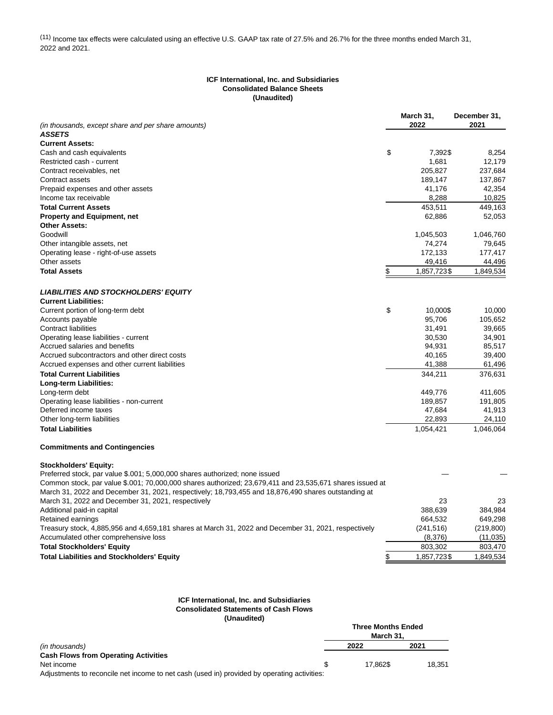(11) Income tax effects were calculated using an effective U.S. GAAP tax rate of 27.5% and 26.7% for the three months ended March 31, 2022 and 2021.

## **ICF International, Inc. and Subsidiaries Consolidated Balance Sheets (Unaudited)**

|                                                                                                          | March 31,         | December 31, |
|----------------------------------------------------------------------------------------------------------|-------------------|--------------|
| (in thousands, except share and per share amounts)                                                       | 2022              | 2021         |
| <b>ASSETS</b>                                                                                            |                   |              |
| <b>Current Assets:</b>                                                                                   |                   |              |
| Cash and cash equivalents                                                                                | \$<br>7,392\$     | 8,254        |
| Restricted cash - current                                                                                | 1,681             | 12,179       |
| Contract receivables, net                                                                                | 205,827           | 237,684      |
| Contract assets                                                                                          | 189,147           | 137,867      |
| Prepaid expenses and other assets                                                                        | 41,176            | 42,354       |
| Income tax receivable                                                                                    | 8,288             | 10,825       |
| <b>Total Current Assets</b>                                                                              | 453,511           | 449.163      |
| <b>Property and Equipment, net</b>                                                                       | 62,886            | 52,053       |
| <b>Other Assets:</b>                                                                                     |                   |              |
| Goodwill                                                                                                 | 1,045,503         | 1,046,760    |
| Other intangible assets, net                                                                             | 74,274            | 79,645       |
| Operating lease - right-of-use assets                                                                    | 172,133           | 177,417      |
| Other assets                                                                                             | 49,416            | 44,496       |
| <b>Total Assets</b>                                                                                      | \$<br>1,857,723\$ | 1,849,534    |
|                                                                                                          |                   |              |
| <b>LIABILITIES AND STOCKHOLDERS' EQUITY</b>                                                              |                   |              |
| <b>Current Liabilities:</b>                                                                              |                   |              |
| Current portion of long-term debt                                                                        | \$<br>10,000\$    | 10,000       |
| Accounts payable                                                                                         | 95,706            | 105,652      |
| <b>Contract liabilities</b>                                                                              | 31,491            | 39,665       |
| Operating lease liabilities - current                                                                    | 30,530            | 34,901       |
| Accrued salaries and benefits                                                                            | 94,931            | 85,517       |
| Accrued subcontractors and other direct costs                                                            | 40,165            | 39,400       |
|                                                                                                          | 41,388            |              |
| Accrued expenses and other current liabilities                                                           |                   | 61,496       |
| <b>Total Current Liabilities</b>                                                                         | 344,211           | 376,631      |
| Long-term Liabilities:                                                                                   |                   |              |
| Long-term debt                                                                                           | 449,776           | 411,605      |
| Operating lease liabilities - non-current                                                                | 189,857           | 191,805      |
| Deferred income taxes                                                                                    | 47,684            | 41,913       |
| Other long-term liabilities                                                                              | 22,893            | 24,110       |
| <b>Total Liabilities</b>                                                                                 | 1,054,421         | 1,046,064    |
| <b>Commitments and Contingencies</b>                                                                     |                   |              |
| <b>Stockholders' Equity:</b>                                                                             |                   |              |
| Preferred stock, par value \$.001, 5,000,000 shares authorized; none issued                              |                   |              |
| Common stock, par value \$.001; 70,000,000 shares authorized; 23,679,411 and 23,535,671 shares issued at |                   |              |
| March 31, 2022 and December 31, 2021, respectively; 18,793,455 and 18,876,490 shares outstanding at      |                   |              |
| March 31, 2022 and December 31, 2021, respectively                                                       | 23                | 23           |
| Additional paid-in capital                                                                               | 388,639           | 384,984      |
| Retained earnings                                                                                        | 664,532           | 649,298      |
| Treasury stock, 4,885,956 and 4,659,181 shares at March 31, 2022 and December 31, 2021, respectively     | (241, 516)        | (219, 800)   |
| Accumulated other comprehensive loss                                                                     | (8,376)           | (11, 035)    |
| <b>Total Stockholders' Equity</b>                                                                        | 803,302           | 803,470      |
| <b>Total Liabilities and Stockholders' Equity</b>                                                        | \$<br>1,857,723\$ | 1,849,534    |
|                                                                                                          |                   |              |

# **ICF International, Inc. and Subsidiaries Consolidated Statements of Cash Flows**

**(Unaudited)**

|                                             |  | <b>Three Months Ended</b><br>March 31. |        |  |
|---------------------------------------------|--|----------------------------------------|--------|--|
| (in thousands)                              |  | 2022                                   | 2021   |  |
| <b>Cash Flows from Operating Activities</b> |  |                                        |        |  |
| Net income                                  |  | 17.862\$                               | 18.351 |  |
|                                             |  |                                        |        |  |

Adjustments to reconcile net income to net cash (used in) provided by operating activities: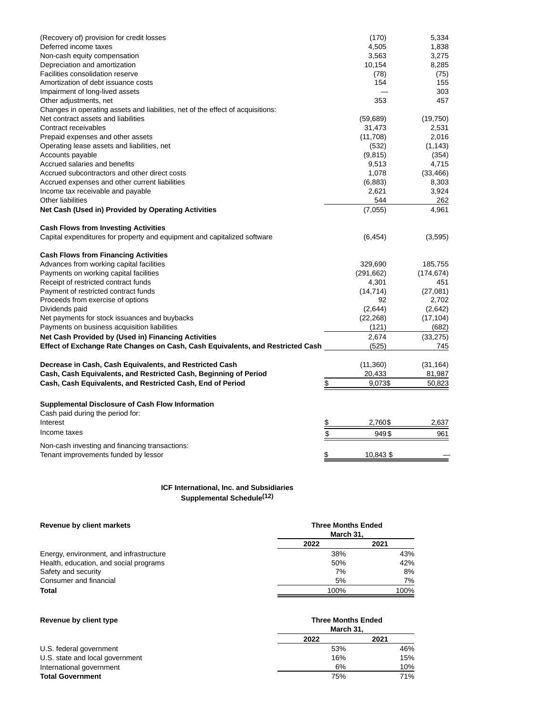| (Recovery of) provision for credit losses                                       |               | (170)      | 5,334      |
|---------------------------------------------------------------------------------|---------------|------------|------------|
| Deferred income taxes                                                           |               | 4,505      | 1,838      |
| Non-cash equity compensation                                                    |               | 3,563      | 3,275      |
| Depreciation and amortization                                                   |               | 10,154     | 8,285      |
| <b>Facilities consolidation reserve</b>                                         |               | (78)       | (75)       |
| Amortization of debt issuance costs                                             |               | 154        | 155        |
| Impairment of long-lived assets                                                 |               |            | 303        |
| Other adjustments, net                                                          |               | 353        | 457        |
| Changes in operating assets and liabilities, net of the effect of acquisitions: |               |            |            |
| Net contract assets and liabilities                                             |               | (59, 689)  | (19,750)   |
| Contract receivables                                                            |               | 31,473     | 2,531      |
| Prepaid expenses and other assets                                               |               | (11,708)   | 2,016      |
| Operating lease assets and liabilities, net                                     |               | (532)      | (1, 143)   |
| Accounts payable                                                                |               | (9, 815)   | (354)      |
| Accrued salaries and benefits                                                   |               | 9,513      | 4,715      |
| Accrued subcontractors and other direct costs                                   |               | 1,078      | (33, 466)  |
| Accrued expenses and other current liabilities                                  |               | (6,883)    | 8,303      |
| Income tax receivable and payable                                               |               | 2,621      | 3,924      |
| Other liabilities                                                               |               | 544        | 262        |
| Net Cash (Used in) Provided by Operating Activities                             |               | (7,055)    | 4,961      |
| <b>Cash Flows from Investing Activities</b>                                     |               |            |            |
| Capital expenditures for property and equipment and capitalized software        |               | (6, 454)   | (3,595)    |
| <b>Cash Flows from Financing Activities</b>                                     |               |            |            |
| Advances from working capital facilities                                        |               | 329,690    | 185,755    |
| Payments on working capital facilities                                          |               | (291, 662) | (174, 674) |
| Receipt of restricted contract funds                                            |               | 4,301      | 451        |
| Payment of restricted contract funds                                            |               | (14, 714)  | (27,081)   |
| Proceeds from exercise of options                                               |               | 92         | 2,702      |
| Dividends paid                                                                  |               | (2,644)    | (2,642)    |
| Net payments for stock issuances and buybacks                                   |               | (22, 268)  | (17, 104)  |
| Payments on business acquisition liabilities                                    |               | (121)      | (682)      |
| Net Cash Provided by (Used in) Financing Activities                             |               | 2,674      | (33, 275)  |
| Effect of Exchange Rate Changes on Cash, Cash Equivalents, and Restricted Cash  |               | (525)      | 745        |
| Decrease in Cash, Cash Equivalents, and Restricted Cash                         |               | (11, 360)  | (31, 164)  |
| Cash, Cash Equivalents, and Restricted Cash, Beginning of Period                |               | 20,433     | 81,987     |
| Cash, Cash Equivalents, and Restricted Cash, End of Period                      | $\frac{1}{2}$ | 9,073\$    | 50,823     |
|                                                                                 |               |            |            |
| Supplemental Disclosure of Cash Flow Information                                |               |            |            |
| Cash paid during the period for:                                                |               |            |            |
| Interest                                                                        | \$            | 2,760\$    | 2,637      |
| Income taxes                                                                    | \$            | 949\$      | 961        |
| Non-cash investing and financing transactions:                                  |               |            |            |
| Tenant improvements funded by lessor                                            | \$            | 10,843 \$  |            |

# **ICF International, Inc. and Subsidiaries Supplemental Schedule(12)**

| Revenue by client markets               | <b>Three Months Ended</b><br>March 31. |      |  |  |
|-----------------------------------------|----------------------------------------|------|--|--|
|                                         | 2022                                   | 2021 |  |  |
| Energy, environment, and infrastructure | 38%                                    | 43%  |  |  |
| Health, education, and social programs  | 50%                                    | 42%  |  |  |
| Safety and security                     | 7%                                     | 8%   |  |  |
| Consumer and financial                  | 5%                                     | 7%   |  |  |
| Total                                   | 100%                                   | 100% |  |  |

| Revenue by client type          | <b>Three Months Ended</b><br>March 31. |      |  |  |
|---------------------------------|----------------------------------------|------|--|--|
|                                 | 2022                                   | 2021 |  |  |
| U.S. federal government         | 53%                                    | 46%  |  |  |
| U.S. state and local government | 16%                                    | 15%  |  |  |
| International government        | 6%                                     | 10%  |  |  |
| <b>Total Government</b>         | 75%                                    | 71%  |  |  |